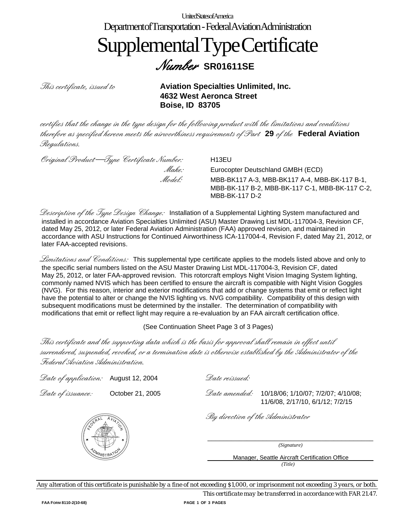#### UnitedStatesofAmerica DepartmentofTransportation -FederalAviationAdministration SupplementalTypeCertificate Number **SR01611SE**

This certificate, issued to **Aviation Specialties Unlimited, Inc. 4632 West Aeronca Street Boise, ID 83705**

certifies that the change in the type design for the following product with the limitations and conditions therefore as specified hereon meets the airworthiness requirements of Part **29** of the **Federal Aviation** Regulations.

Original Product—Type Certificate Number: H13EU

*Make:* Eurocopter Deutschland GMBH (ECD)<br>*Model:* MBB-BK117 A-3 MBB-BK117 A-4 MF MBB-BK117 A-3, MBB-BK117 A-4, MBB-BK-117 B-1, MBB-BK-117 B-2, MBB-BK-117 C-1, MBB-BK-117 C-2, MBB-BK-117 D-2

Description of the Type Design Change: Installation of a Supplemental Lighting System manufactured and installed in accordance Aviation Specialties Unlimited (ASU) Master Drawing List MDL-117004-3, Revision CF, dated May 25, 2012, or later Federal Aviation Administration (FAA) approved revision, and maintained in accordance with ASU Instructions for Continued Airworthiness ICA-117004-4, Revision F, dated May 21, 2012, or later FAA-accepted revisions.

Limitations and Conditions: This supplemental type certificate applies to the models listed above and only to the specific serial numbers listed on the ASU Master Drawing List MDL-117004-3, Revision CF, dated May 25, 2012, or later FAA-approved revision. This rotorcraft employs Night Vision Imaging System lighting, commonly named NVIS which has been certified to ensure the aircraft is compatible with Night Vision Goggles (NVG). For this reason, interior and exterior modifications that add or change systems that emit or reflect light have the potential to alter or change the NVIS lighting vs. NVG compatibility. Compatibility of this design with subsequent modifications must be determined by the installer. The determination of compatibility with modifications that emit or reflect light may require a re-evaluation by an FAA aircraft certification office.

(See Continuation Sheet Page 3 of 3 Pages)

This certificate and the supporting data which is the basis for approval shall remain in effect until surrendered, suspended, revoked, or a termination date is otherwise established by the Administrator of the Federal Aviation Administration.

| Date of application: August 12, 2004 |  |
|--------------------------------------|--|
|                                      |  |

 $\mathscr{D}$ ate veissued:

 $\mathscr{D}ate\ of\ is \text{suance:}\quad\quad$  October 21, 2005  $\mathscr{D}ate\ amended:$  10/18/06; 1/10/07; 7/2/07; 4/10/08; 11/6/08, 2/17/10, 6/1/12; 7/2/15

/ี<br>⁄WS⊤R∤

By direction of the Administrator

\_\_\_\_\_\_\_\_\_\_\_\_\_\_\_\_\_\_\_\_\_\_\_\_\_\_\_\_\_\_\_\_\_\_\_\_\_\_\_\_\_\_ *(Signature)* 

> Manager, Seattle Aircraft Certification Office *(Title)*

*Any alteration of this certificate is punishable by a fine of not exceeding \$1,000, or imprisonment not exceeding 3 years, or both.*

*This certificate may be transferred in accordance with FAR 21.47.*